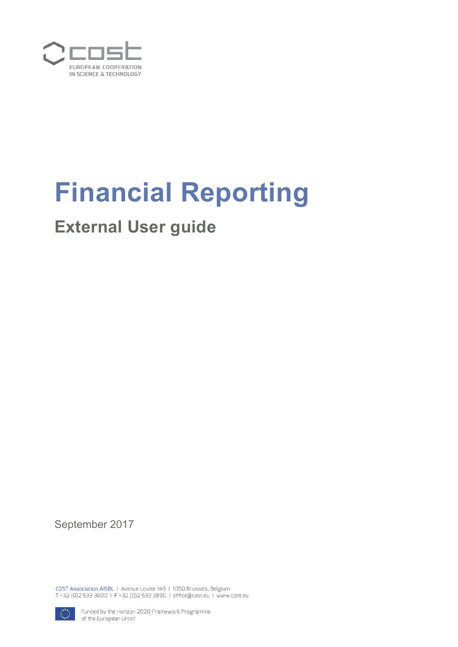

# **Financial Reporting**

## **External User guide**

September 2017

COST Association AISBL | Avenue Louise 149 | 1050 Brussels, Belgium T+32 (0)2 533 3800 | F+32 (0)2 533 3890 | office@cost.eu | www.cost.eu



Funded by the Horizon 2020 Framework Programme of the European Union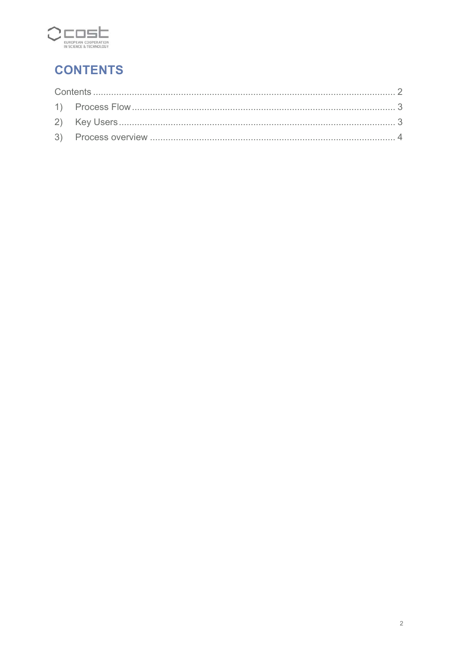

## **CONTENTS**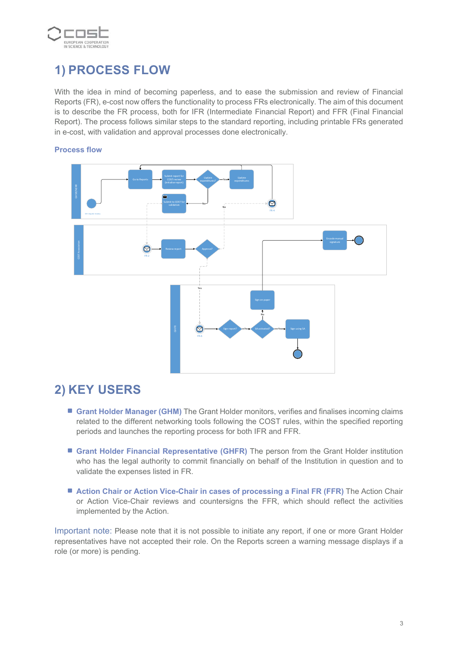

## **1) PROCESS FLOW**

With the idea in mind of becoming paperless, and to ease the submission and review of Financial Reports (FR), e-cost now offers the functionality to process FRs electronically. The aim of this document is to describe the FR process, both for IFR (Intermediate Financial Report) and FFR (Final Financial Report). The process follows similar steps to the standard reporting, including printable FRs generated in e-cost, with validation and approval processes done electronically.



#### **Process flow**

## **2) KEY USERS**

- **Grant Holder Manager (GHM)** The Grant Holder monitors, verifies and finalises incoming claims related to the different networking tools following the COST rules, within the specified reporting periods and launches the reporting process for both IFR and FFR.
- **Grant Holder Financial Representative (GHFR)** The person from the Grant Holder institution who has the legal authority to commit financially on behalf of the Institution in question and to validate the expenses listed in FR.
- **Action Chair or Action Vice-Chair in cases of processing a Final FR (FFR)** The Action Chair or Action Vice-Chair reviews and countersigns the FFR, which should reflect the activities implemented by the Action.

Important note: Please note that it is not possible to initiate any report, if one or more Grant Holder representatives have not accepted their role. On the Reports screen a warning message displays if a role (or more) is pending.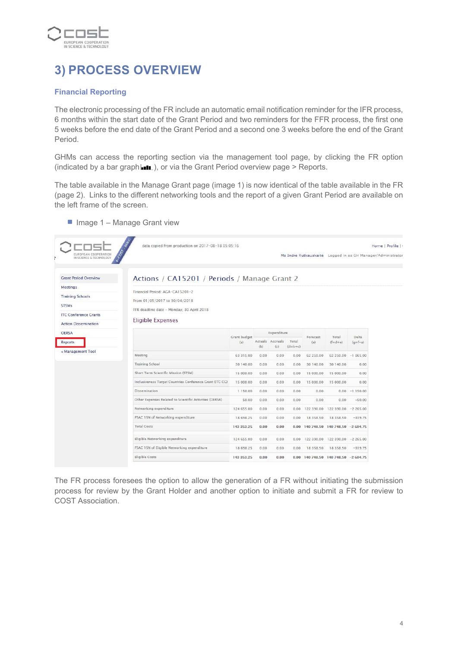

## **3) PROCESS OVERVIEW**

#### **Financial Reporting**

The electronic processing of the FR include an automatic email notification reminder for the IFR process, 6 months within the start date of the Grant Period and two reminders for the FFR process, the first one 5 weeks before the end date of the Grant Period and a second one 3 weeks before the end of the Grant Period.

GHMs can access the reporting section via the management tool page, by clicking the FR option (indicated by a bar graph  $\Box$ ), or via the Grant Period overview page > Reports.

The table available in the Manage Grant page (image 1) is now identical of the table available in the FR (page 2). Links to the different networking tools and the report of a given Grant Period are available on the left frame of the screen.

| COT<br>EUROPEAN COOPERATION<br>IN SCIENCE & TECHNOLOGY |                                                          |                     |                    |                         |                    |                 | Ms Indré Rutkauskaité Logged in as GH Manager/Administrator |                 |
|--------------------------------------------------------|----------------------------------------------------------|---------------------|--------------------|-------------------------|--------------------|-----------------|-------------------------------------------------------------|-----------------|
| <b>Grant Period Overview</b>                           | Actions / CA15201 / Periods / Manage Grant 2             |                     |                    |                         |                    |                 |                                                             |                 |
| <b>Meetings</b>                                        |                                                          |                     |                    |                         |                    |                 |                                                             |                 |
| <b>Training Schools</b>                                | Financial Period: AGA-CA15201-2                          |                     |                    |                         |                    |                 |                                                             |                 |
| <b>STSMs</b>                                           | From 01/05/2017 to 30/04/2018                            |                     |                    |                         |                    |                 |                                                             |                 |
| <b>ITC Conference Grants</b>                           | FFR deadline date - Monday, 30 April 2018                |                     |                    |                         |                    |                 |                                                             |                 |
| <b>Action Dissemination</b>                            | <b>Eligible Expenses</b>                                 |                     |                    |                         |                    |                 |                                                             |                 |
| <b>OERSA</b>                                           |                                                          |                     | <b>Expenditure</b> |                         |                    |                 | Delta                                                       |                 |
| <b>Reports</b>                                         |                                                          | Grant budget<br>(a) | (b)                | Actuals Accruals<br>(c) | Total<br>$(d=b+c)$ | Forecast<br>(e) | Total<br>$(f=d+e)$                                          | $(q=f-a)$       |
| « Management Tool                                      | Meeting                                                  | 63 315.00           | 0.00               | 0.00                    | 0.00               | 62 250.00       | 62 250.00 -1 065.00                                         |                 |
|                                                        | <b>Training School</b>                                   | 30 140.00           | 0.00               | 0.00                    | 0.00               | 30 140.00       | 30 140 00                                                   | 0.00            |
|                                                        | Short Term Scientific Mission (STSM)                     | 15 000.00           | 0.00               | 0.00                    | 0.00               | 15 000.00       | 15 000.00                                                   | 0.00            |
|                                                        | Inclusiveness Target Countries Conference Grant (ITC CG) | 15 000.00           | 0.00               | 0.00                    | 0.00               | 15 000.00       | 15 000.00                                                   | 0.00            |
|                                                        | <b>Dissemination</b>                                     | 1150.00             | 0.00               | 0.00                    | 0.00               | 0.00            |                                                             | $0.00 -1150.00$ |
|                                                        | Other Expenses Related to Scientific Activities (OERSA)  | 50.00               | 0.00               | 0.00                    | 0.00               | 0.00            | 0.00                                                        | $-50.00$        |
|                                                        | Networking expenditure                                   | 124 655.00          | 0.00               | 0.00                    | 0.00               |                 | 122 390.00 122 390.00                                       | $-2,265,00$     |
|                                                        | FSAC 15% of Networking expenditure                       | 18 698.25           | 0.00               | 0.00                    | 0.00               | 18358.50        | 18 358.50                                                   | $-339.75$       |
|                                                        | <b>Total Costs</b>                                       | 143 353 25          | 0.00               | 0.00                    |                    |                 | 0.00 140 748.50 140 748.50 -2 604.75                        |                 |
|                                                        | Eligible Networking expenditure                          | 124 655.00          | 0.00               | 0.00                    | 0.00.              |                 | 122 390.00 122 390.00 -2 265.00                             |                 |
|                                                        | FSAC 15% of Eligible Networking expenditure              | 18 698.25           | 0.00               | 0.00                    | 0.00               | 18358.50        | 18 358.50                                                   | $-339.75$       |
|                                                        | Eligible Costs                                           | 143 353 25          | 0.00               | 0.00                    |                    |                 | 0.00 140 748.50 140 748.50 -2 604.75                        |                 |

 $\blacksquare$  Image 1 – Manage Grant view

The FR process foresees the option to allow the generation of a FR without initiating the submission process for review by the Grant Holder and another option to initiate and submit a FR for review to COST Association.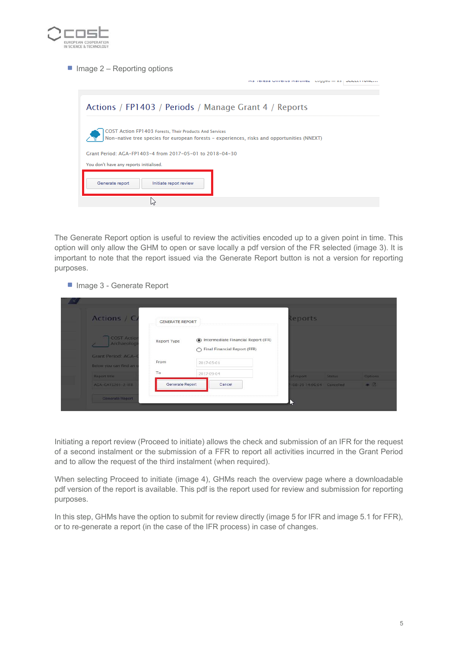

 $\blacksquare$  Image 2 – Reporting options

|                                                                                                                                                        | ins reresa Onverus martinezi izugued in asi belecci rome |
|--------------------------------------------------------------------------------------------------------------------------------------------------------|----------------------------------------------------------|
| Actions / FP1403 / Periods / Manage Grant 4 / Reports                                                                                                  |                                                          |
| COST Action FP1403 Forests. Their Products And Services<br>Non-native tree species for european forests - experiences, risks and opportunities (NNEXT) |                                                          |
| Grant Period: AGA-FP1403-4 from 2017-05-01 to 2018-04-30                                                                                               |                                                          |
| You don't have any reports initialised.                                                                                                                |                                                          |
| Generate report<br>Initiate report review                                                                                                              |                                                          |
|                                                                                                                                                        |                                                          |
|                                                                                                                                                        |                                                          |

The Generate Report option is useful to review the activities encoded up to a given point in time. This option will only allow the GHM to open or save locally a pdf version of the FR selected (image 3). It is important to note that the report issued via the Generate Report button is not a version for reporting purposes.

■ Image 3 - Generate Report

| Actions / C/                                | <b>GENERATE REPORT</b> |            |                                                                           | Reports                   |        |                     |
|---------------------------------------------|------------------------|------------|---------------------------------------------------------------------------|---------------------------|--------|---------------------|
| <b>COST Action</b><br>Archaeologi           | Report Type            |            | (b) Intermediate Financial Report (IFR)<br>◯ Final Financial Report (FFR) |                           |        |                     |
| Grant Period: AGA-<br>Below you can find an | From                   | 2017-05-01 |                                                                           |                           |        |                     |
| Report title                                | To                     | 2017-09-04 |                                                                           | of report                 | Status | <b>Options</b>      |
| AGA-CA15201-2-IFR                           | Generate Report        |            | Cancel                                                                    | $-08-2914.0604$ Cancelled |        | $\bullet$ $\bullet$ |
| Generate Report                             |                        |            |                                                                           |                           |        |                     |

Initiating a report review (Proceed to initiate) allows the check and submission of an IFR for the request of a second instalment or the submission of a FFR to report all activities incurred in the Grant Period and to allow the request of the third instalment (when required).

When selecting Proceed to initiate (image 4), GHMs reach the overview page where a downloadable pdf version of the report is available. This pdf is the report used for review and submission for reporting purposes.

In this step, GHMs have the option to submit for review directly (image 5 for IFR and image 5.1 for FFR), or to re-generate a report (in the case of the IFR process) in case of changes.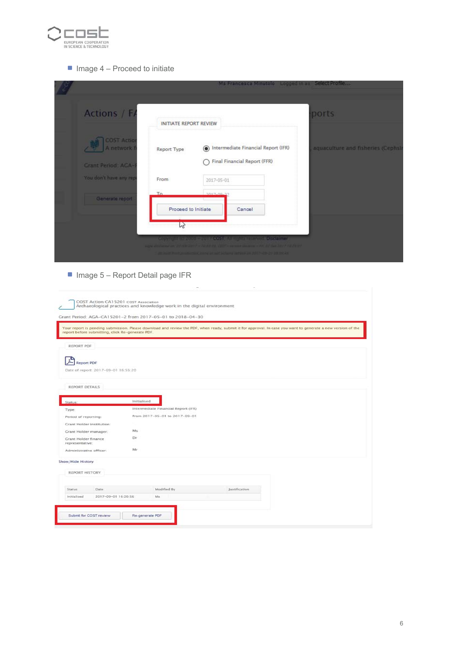

### $\blacksquare$  Image 4 – Proceed to initiate

|                                                                 |                               |            | Ms Francesca Minutolo Logged in as Select Profile                                                                                                                                                        |                                    |
|-----------------------------------------------------------------|-------------------------------|------------|----------------------------------------------------------------------------------------------------------------------------------------------------------------------------------------------------------|------------------------------------|
| Actions / F/                                                    | <b>INITIATE REPORT REVIEW</b> |            |                                                                                                                                                                                                          | ports                              |
| <b>COST Action</b><br>A network f<br><b>Grant Period: AGA-1</b> | Report Type                   |            | ntermediate Financial Report (IFR)<br>Final Financial Report (FFR)                                                                                                                                       | aquaculture and fisheries (Cephsin |
| You don't have any rep                                          | From                          | 2017-05-01 |                                                                                                                                                                                                          |                                    |
| Generate report                                                 | To.<br>Proceed to Initiate    | 1017-00-37 | Cancel                                                                                                                                                                                                   |                                    |
|                                                                 | hr                            |            | university of the service COST, all the services Disdelman<br>the part - light to course press - Mi bries hard (britis)<br>an east fund producting during at aid billions setting on AH P-19-29 08:2024. |                                    |

 $\blacksquare$  Image 5 – Report Detail page IFR

| report before submitting, click Re-generate PDF. | Your report is pending submission. Please download and review the PDF, when ready, submit it for approval. In case you want to generate a new version of the |
|--------------------------------------------------|--------------------------------------------------------------------------------------------------------------------------------------------------------------|
| REPORT PDF                                       |                                                                                                                                                              |
|                                                  |                                                                                                                                                              |
| <b>Report PDF</b>                                |                                                                                                                                                              |
| Date of report: 2017-09-01 16:55:20              |                                                                                                                                                              |
| REPORT DETAILS                                   |                                                                                                                                                              |
|                                                  |                                                                                                                                                              |
| <b>Status:</b>                                   | Initialised                                                                                                                                                  |
| Type:                                            | Intermediate Financial Report (IFR)                                                                                                                          |
| Period of reporting:                             | from 2017-05-01 to 2017-09-01                                                                                                                                |
| <b>Grant Holder institution:</b>                 |                                                                                                                                                              |
| Grant Holder manager:                            | M <sub>2</sub>                                                                                                                                               |
| <b>Grant Holder finance</b><br>representative:   | Dr                                                                                                                                                           |
| Administrative officer:                          | Mr                                                                                                                                                           |
| Show/Hide History                                |                                                                                                                                                              |
|                                                  |                                                                                                                                                              |
| REPORT HISTORY                                   |                                                                                                                                                              |
| <b>Status</b><br>Date:                           | Modified By<br>Justification                                                                                                                                 |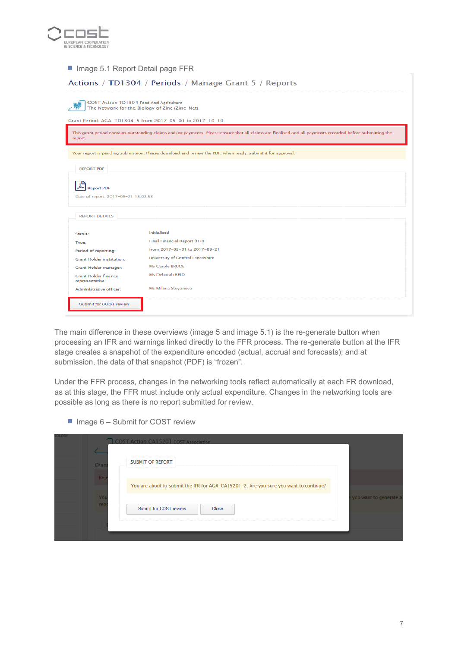

■ Image 5.1 Report Detail page FFR

| Actions / TD1304 / Periods / Manage Grant 5 / Reports                                     |                                                                                                                                                            |  |  |  |  |  |
|-------------------------------------------------------------------------------------------|------------------------------------------------------------------------------------------------------------------------------------------------------------|--|--|--|--|--|
| COST Action TD1304 Food And Agriculture<br>The Network for the Biology of Zinc (Zinc-Net) |                                                                                                                                                            |  |  |  |  |  |
|                                                                                           | Grant Period: AGA-TD1304-5 from 2017-05-01 to 2017-10-10                                                                                                   |  |  |  |  |  |
| report.                                                                                   | This grant period contains outstanding claims and/or payments. Please ensure that all claims are finalised and all payments recorded before submitting the |  |  |  |  |  |
|                                                                                           | Your report is pending submission. Please download and review the PDF, when ready, submit it for approval.                                                 |  |  |  |  |  |
| <b>REPORT PDF</b>                                                                         |                                                                                                                                                            |  |  |  |  |  |
| <b>Report PDF</b>                                                                         | Date of report: 2017-09-21 15:02:53                                                                                                                        |  |  |  |  |  |
| <b>REPORT DETAILS</b>                                                                     |                                                                                                                                                            |  |  |  |  |  |
| Status:                                                                                   | <b>Initialised</b>                                                                                                                                         |  |  |  |  |  |
| Type:                                                                                     | <b>Final Financial Report (FFR)</b>                                                                                                                        |  |  |  |  |  |
| Period of reporting:                                                                      | from 2017-05-01 to 2017-09-21                                                                                                                              |  |  |  |  |  |
| <b>Grant Holder institution:</b>                                                          | <b>University of Central Lancashire</b>                                                                                                                    |  |  |  |  |  |
| <b>Grant Holder manager:</b>                                                              | Ms Carole BRUCE                                                                                                                                            |  |  |  |  |  |
| <b>Grant Holder finance</b><br>representative:                                            | Ms Deborah REID                                                                                                                                            |  |  |  |  |  |
| Administrative officer:                                                                   | Ms Milena Stoyanova                                                                                                                                        |  |  |  |  |  |
| Submit for COST review                                                                    |                                                                                                                                                            |  |  |  |  |  |

The main difference in these overviews (image 5 and image 5.1) is the re-generate button when processing an IFR and warnings linked directly to the FFR process. The re-generate button at the IFR stage creates a snapshot of the expenditure encoded (actual, accrual and forecasts); and at submission, the data of that snapshot (PDF) is "frozen".

Under the FFR process, changes in the networking tools reflect automatically at each FR download, as at this stage, the FFR must include only actual expenditure. Changes in the networking tools are possible as long as there is no report submitted for review.

 $\blacksquare$  Image 6 – Submit for COST review

| olloky    | <b>COST Action CA15201 COST Association</b>                                           |                        |
|-----------|---------------------------------------------------------------------------------------|------------------------|
| Gran      | <b>SUBMIT OF REPORT</b>                                                               |                        |
| Rei       | You are about to submit the IFR for AGA-CA15201-2. Are you sure you want to continue? |                        |
| Yo<br>rep | Submit for COST review<br>Close                                                       | you want to generate a |
|           |                                                                                       |                        |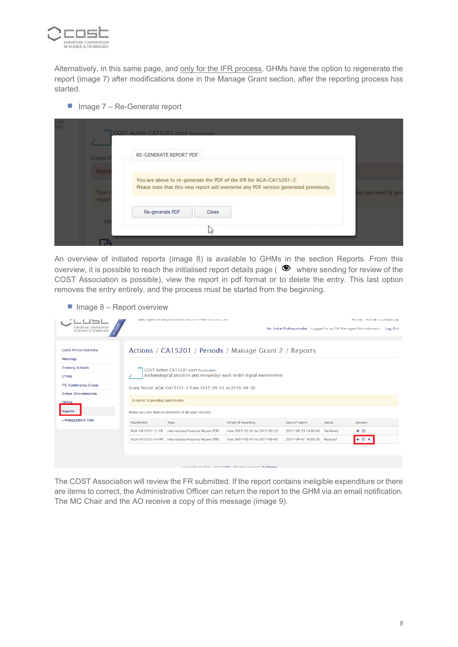

Alternatively, in this same page, and only for the IFR process, GHMs have the option to regenerate the report (image 7) after modifications done in the Manage Grant section, after the reporting process has started.

■ Image 7 – Re-Generate report

|                | <b>COST Action CA15201 COST Association</b> |                                                                                       |                     |
|----------------|---------------------------------------------|---------------------------------------------------------------------------------------|---------------------|
| <b>Grant F</b> | <b>RE-GENERATE REPORT PDF</b>               |                                                                                       |                     |
| Reject         |                                             | You are about to re-generate the PDF of the IFR for AGA-CA15201-2.                    |                     |
| Your<br>report |                                             | Please note that this new report will overwrite any PDF version generated previously. | ise you want to ger |
|                | Re-generate PDF                             | Close                                                                                 |                     |
| RE             |                                             | hi                                                                                    |                     |

An overview of initiated reports (image 8) is available to GHMs in the section Reports. From this overview, it is possible to reach the initialised report details page ( $\bullet$  where sending for review of the COST Association is possible), view the report in pdf format or to delete the entry. This last option removes the entry entirely, and the process must be started from the beginning.

 $\blacksquare$  Image 8 – Report overview

|                              | uata copicultionii production on zui rifoulitio up.up.ilo |                                                           |                                                                        |                                                                     |               | nome   Prome   Comactios |  |
|------------------------------|-----------------------------------------------------------|-----------------------------------------------------------|------------------------------------------------------------------------|---------------------------------------------------------------------|---------------|--------------------------|--|
| EUROPEAN COOPERATION         |                                                           |                                                           |                                                                        | Ms Indré Rutkauskaité Logged in as GH Manager/Administrator Log Out |               |                          |  |
|                              |                                                           |                                                           |                                                                        |                                                                     |               |                          |  |
| <b>Grant Period Overview</b> |                                                           |                                                           | Actions / CA15201 / Periods / Manage Grant 2 / Reports                 |                                                                     |               |                          |  |
| <b>Meetings</b>              |                                                           |                                                           |                                                                        |                                                                     |               |                          |  |
| <b>Training Schools</b>      |                                                           | <b>COST Action CA15201 COST Association</b>               |                                                                        |                                                                     |               |                          |  |
| <b>STSMs</b>                 |                                                           |                                                           | Archaeological practices and knowledge work in the digital environment |                                                                     |               |                          |  |
| <b>ITC Conference Grants</b> |                                                           | Grant Period: AGA-CA15201-2 from 2017-05-01 to 2018-04-30 |                                                                        |                                                                     |               |                          |  |
| <b>Action Dissemination</b>  |                                                           |                                                           |                                                                        |                                                                     |               |                          |  |
| <b>OFRSA</b>                 | A report is pending submission.                           |                                                           |                                                                        |                                                                     |               |                          |  |
| <b>Reports</b>               |                                                           | Below you can find an overview of all your reports.       |                                                                        |                                                                     |               |                          |  |
| « Management Tool            | <b>Report title</b>                                       | Type                                                      | Period of reporting                                                    | Date of report                                                      | <b>Status</b> | <b>Options</b>           |  |
|                              |                                                           | AGA-CA15201-2-IFR Intermediate Financial Report (IFR)     | from 2017-05-01 to 2017-08-29                                          | 2017-08-29 14:06:04                                                 | Validated     | $\bullet$ $\Box$         |  |
|                              |                                                           | AGA-CA15201-2-IFR Intermediate Financial Report (IFR)     | from 2017-05-01 to 2017-09-01                                          | 2017-09-01 16:55:20                                                 | Rejected      | $\bullet$ $\Box$ x       |  |
|                              |                                                           |                                                           |                                                                        |                                                                     |               |                          |  |
|                              |                                                           |                                                           |                                                                        |                                                                     |               |                          |  |
|                              |                                                           |                                                           | Complete (a) 2008 - 2017 COCT, All debts received. Displainers         |                                                                     |               |                          |  |

The COST Association will review the FR submitted. If the report contains ineligible expenditure or there are items to correct, the Administrative Officer can return the report to the GHM via an email notification. The MC Chair and the AO receive a copy of this message (image 9).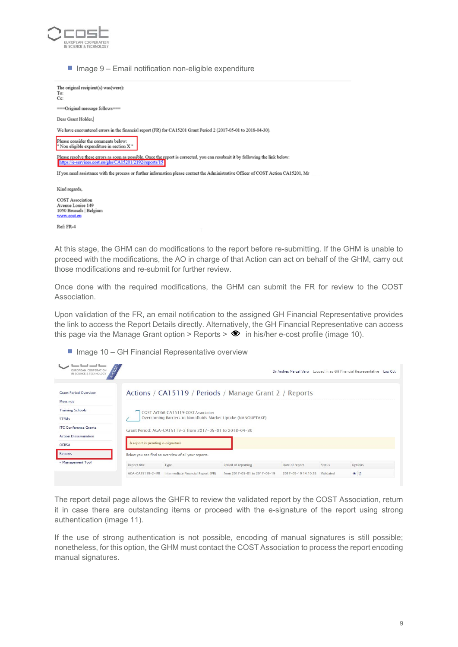

 $\blacksquare$  Image 9 – Email notification non-eligible expenditure



COST Association Avenue Louise 149<br>1050 Brussels | Belgium www.cost.cu

Ref: FR-4

At this stage, the GHM can do modifications to the report before re-submitting. If the GHM is unable to proceed with the modifications, the AO in charge of that Action can act on behalf of the GHM, carry out those modifications and re-submit for further review.

Once done with the required modifications, the GHM can submit the FR for review to the COST Association.

Upon validation of the FR, an email notification to the assigned GH Financial Representative provides the link to access the Report Details directly. Alternatively, the GH Financial Representative can access this page via the Manage Grant option > Reports  $>$   $\bullet$  in his/her e-cost profile (image 10).

#### $\blacksquare$  Image 10 – GH Financial Representative overview

| have been send been.<br>EUROPEAN COOPERATION<br>IN SCIENCE & TECHNOLOGY |                                  |                                                                                                      |                               | Dr Andres Marzal Varo Logged in as GH Financial Representative Log Out |               |                |  |
|-------------------------------------------------------------------------|----------------------------------|------------------------------------------------------------------------------------------------------|-------------------------------|------------------------------------------------------------------------|---------------|----------------|--|
| <b>Grant Period Overview</b><br><b>Meetings</b>                         |                                  | Actions / CA15119 / Periods / Manage Grant 2 / Reports                                               |                               |                                                                        |               |                |  |
| <b>Training Schools</b><br><b>STSMs</b>                                 |                                  | COST Action CA15119 COST Association<br>Overcoming Barriers to Nanofluids Market Uptake (NANOUPTAKE) |                               |                                                                        |               |                |  |
| <b>ITC Conference Grants</b><br><b>Action Dissemination</b>             |                                  | Grant Period: AGA-CA15119-2 from 2017-05-01 to 2018-04-30                                            |                               |                                                                        |               |                |  |
| <b>OERSA</b>                                                            | A report is pending e-signature. |                                                                                                      |                               |                                                                        |               |                |  |
| Reports                                                                 |                                  | Below you can find an overview of all your reports.                                                  |                               |                                                                        |               |                |  |
| « Management Tool                                                       | Report title                     | Type                                                                                                 | Period of reporting           | Date of report                                                         | <b>Status</b> | Options        |  |
|                                                                         | AGA-CA15119-2-IFR                | Intermediate Financial Report (IFR)                                                                  | from 2017-05-01 to 2017-09-19 | 2017-09-19 14:10:53                                                    | Validated     | $\circ$ $\Box$ |  |

The report detail page allows the GHFR to review the validated report by the COST Association, return it in case there are outstanding items or proceed with the e-signature of the report using strong authentication (image 11).

If the use of strong authentication is not possible, encoding of manual signatures is still possible; nonetheless, for this option, the GHM must contact the COST Association to process the report encoding manual signatures.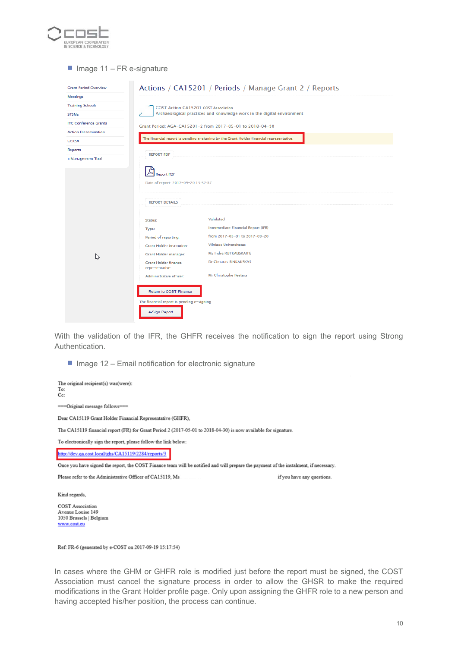

#### $\blacksquare$  Image 11 – FR e-signature

| <b>Grant Period Overview</b> | Actions / CA15201 / Periods / Manage Grant 2 / Reports                                |                                                                                         |  |  |  |  |  |  |
|------------------------------|---------------------------------------------------------------------------------------|-----------------------------------------------------------------------------------------|--|--|--|--|--|--|
| <b>Meetings</b>              |                                                                                       |                                                                                         |  |  |  |  |  |  |
| <b>Training Schools</b>      | COST Action CA15201 COST Association                                                  |                                                                                         |  |  |  |  |  |  |
| <b>STSMs</b>                 | Archaeological practices and knowledge work in the digital environment                |                                                                                         |  |  |  |  |  |  |
| <b>ITC Conference Grants</b> | Grant Period: AGA-CA15201-2 from 2017-05-01 to 2018-04-30                             |                                                                                         |  |  |  |  |  |  |
| <b>Action Dissemination</b>  |                                                                                       |                                                                                         |  |  |  |  |  |  |
| <b>OERSA</b>                 |                                                                                       | The financial report is pending e-signing by the Grant Holder financial representative. |  |  |  |  |  |  |
| <b>Reports</b>               | <b>REPORT PDF</b>                                                                     |                                                                                         |  |  |  |  |  |  |
| « Management Tool            |                                                                                       |                                                                                         |  |  |  |  |  |  |
|                              | <b>Report PDF</b><br>Date of report: 2017-09-20 15:52:37<br><b>REPORT DETAILS</b>     | Validated                                                                               |  |  |  |  |  |  |
|                              | Status:                                                                               | Intermediate Financial Report (IFR)                                                     |  |  |  |  |  |  |
|                              | Type:<br>Period of reporting:                                                         | from 2017-05-01 to 2017-09-20                                                           |  |  |  |  |  |  |
|                              | <b>Grant Holder institution:</b>                                                      | <b>Vilniaus Universitetas</b>                                                           |  |  |  |  |  |  |
|                              | Grant Holder manager:                                                                 | Ms Indré RUTKAUSKAITÉ                                                                   |  |  |  |  |  |  |
| ß                            | <b>Grant Holder finance</b><br>representative:                                        | Dr Gintaras BINKAUSKAS                                                                  |  |  |  |  |  |  |
|                              | Administrative officer:                                                               | <b>Mr Christophe Peeters</b>                                                            |  |  |  |  |  |  |
|                              | Return to COST Finance<br>The financial report is pending e-signing.<br>e-Sign Report |                                                                                         |  |  |  |  |  |  |

With the validation of the IFR, the GHFR receives the notification to sign the report using Strong Authentication.

 $\blacksquare$  Image 12 – Email notification for electronic signature

| The original recipient(s) was(were):<br>To:<br>$Cc$ :                                                                                 |                            |
|---------------------------------------------------------------------------------------------------------------------------------------|----------------------------|
| ===Original message follows===                                                                                                        |                            |
| Dear CA15119 Grant Holder Financial Representative (GHFR).                                                                            |                            |
| The CA15119 financial report (FR) for Grant Period 2 (2017-05-01 to 2018-04-30) is now available for signature.                       |                            |
| To electronically sign the report, please follow the link below:                                                                      |                            |
| http://dev.qa.cost.local/ghs/CA15119/2284/reports/3                                                                                   |                            |
| Once you have signed the report, the COST Finance team will be notified and will prepare the payment of the instalment, if necessary. |                            |
| Please refer to the Administrative Officer of CA15119. Ms                                                                             | if you have any questions. |
|                                                                                                                                       |                            |
| Kind regards.                                                                                                                         |                            |
| <b>COST</b> Association<br>Avenue Louise 149                                                                                          |                            |

Ref: FR-6 (generated by e-COST on 2017-09-19 15:17:54)

1050 Brussels | Belgium www.cost.eu

In cases where the GHM or GHFR role is modified just before the report must be signed, the COST Association must cancel the signature process in order to allow the GHSR to make the required modifications in the Grant Holder profile page. Only upon assigning the GHFR role to a new person and having accepted his/her position, the process can continue.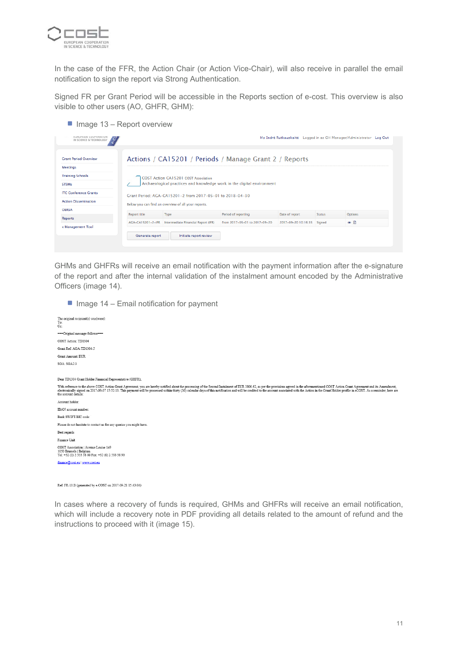

In the case of the FFR, the Action Chair (or Action Vice-Chair), will also receive in parallel the email notification to sign the report via Strong Authentication.

Signed FR per Grant Period will be accessible in the Reports section of e-cost. This overview is also visible to other users (AO, GHFR, GHM):

 $\blacksquare$  Image 13 – Report overview

|                     | COST Action CA15201 COST Association |                                                                                                    |                                                           |               |                  |
|---------------------|--------------------------------------|----------------------------------------------------------------------------------------------------|-----------------------------------------------------------|---------------|------------------|
|                     |                                      |                                                                                                    |                                                           |               |                  |
|                     |                                      |                                                                                                    |                                                           |               |                  |
|                     |                                      | Archaeological practices and knowledge work in the digital environment                             |                                                           |               |                  |
|                     |                                      |                                                                                                    |                                                           |               |                  |
|                     |                                      |                                                                                                    |                                                           |               |                  |
|                     |                                      |                                                                                                    |                                                           |               |                  |
| <b>Report title</b> |                                      | Period of reporting                                                                                | Date of report                                            | <b>Status</b> | Options          |
| AGA-CA15201-2-IFR   |                                      | from 2017-05-01 to 2017-09-20                                                                      | 2017-09-20 10:16:35                                       | Signed        | $\bullet$ $\Box$ |
|                     |                                      | Below you can find an overview of all your reports.<br>Type<br>Intermediate Financial Report (IFR) | Grant Period: AGA-CA15201-2 from 2017-05-01 to 2018-04-30 |               |                  |

GHMs and GHFRs will receive an email notification with the payment information after the e-signature of the report and after the internal validation of the instalment amount encoded by the Administrative Officers (image 14).

 $\blacksquare$  Image 14 – Email notification for payment



Ref: FR-10.B (generated by e-COST on 2017-09-21 15:43:04)

In cases where a recovery of funds is required, GHMs and GHFRs will receive an email notification, which will include a recovery note in PDF providing all details related to the amount of refund and the instructions to proceed with it (image 15).